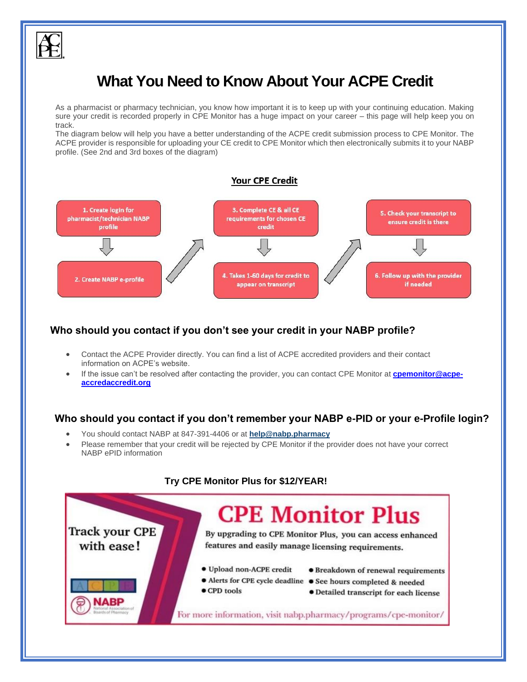

# **What You Need to Know About Your ACPE Credit**

As a pharmacist or pharmacy technician, you know how important it is to keep up with your continuing education. Making sure your credit is recorded properly in CPE Monitor has a huge impact on your career – this page will help keep you on track.

The diagram below will help you have a better understanding of the ACPE credit submission process to CPE Monitor. The ACPE provider is responsible for uploading your CE credit to CPE Monitor which then electronically submits it to your NABP profile. (See 2nd and 3rd boxes of the diagram)

### Your CPE Credit



# **Who should you contact if you don't see your credit in your NABP profile?**

- Contact the ACPE Provider directly. You can find a list of ACPE accredited providers and their contact information on ACPE's website.
- If the issue can't be resolved after contacting the provider, you can contact CPE Monitor at **[cpemonitor@acpe](mailto:cpemonitor@acpe-accredaccredit.org)[accredaccredit.org](mailto:cpemonitor@acpe-accredaccredit.org)**

# **Who should you contact if you don't remember your NABP e-PID or your e-Profile login?**

- You should contact NABP at 847-391-4406 or at **[help@nabp.pharmacy](mailto:help@nabp.pharmacy)**
- Please remember that your credit will be rejected by CPE Monitor if the provider does not have your correct NABP ePID information



## **Try CPE Monitor Plus for \$12/YEAR!**